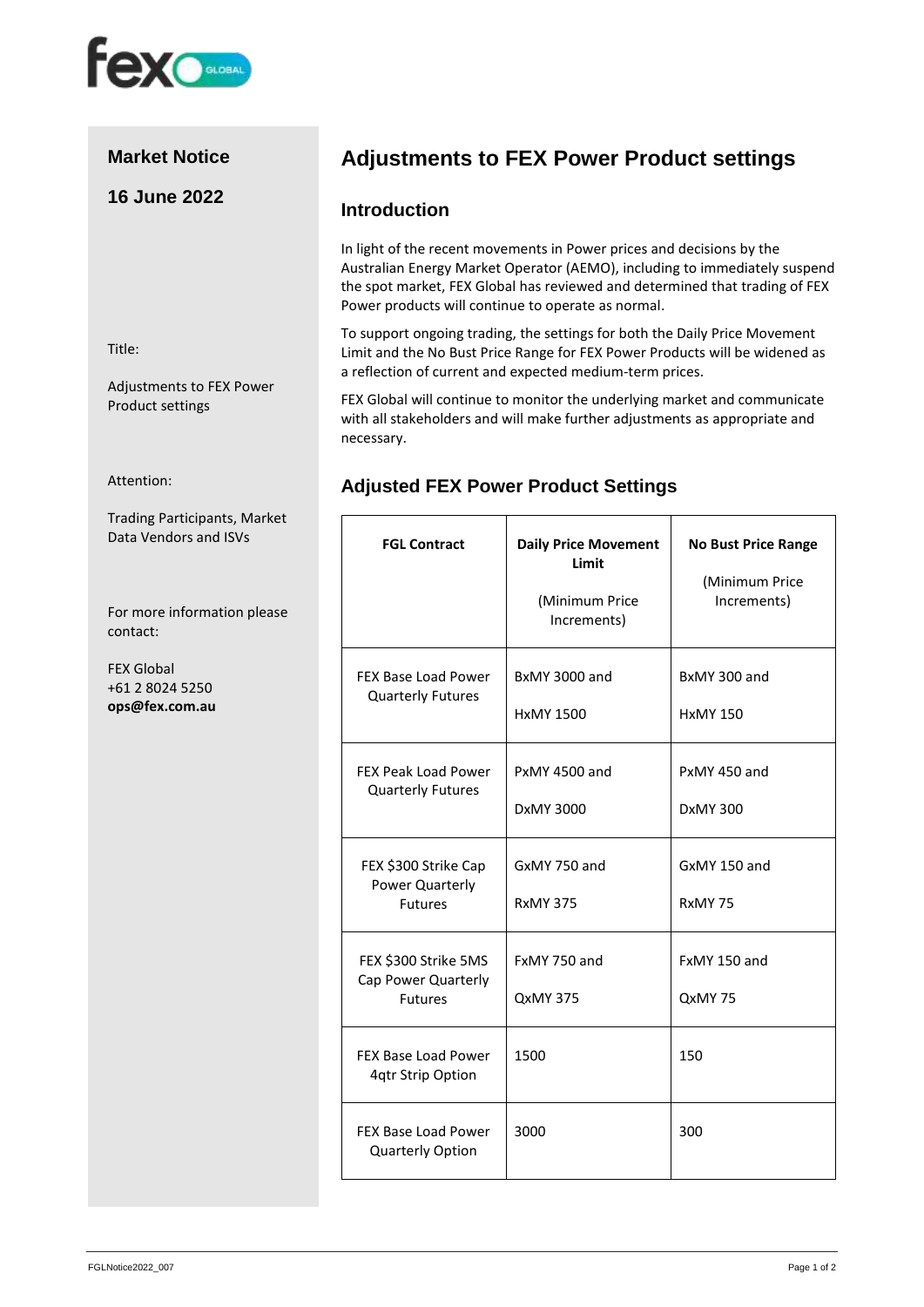

# **Market Notice**

# **16 June 2022**

Title:

Adjustments to FEX Power Product settings

Attention:

Trading Participants, Market Data Vendors and ISVs

For more information please contact:

FEX Global +61 2 8024 5250 **ops@fex.com.au**

# **Adjustments to FEX Power Product settings**

#### **Introduction**

In light of the recent movements in Power prices and decisions by the Australian Energy Market Operator (AEMO), including to immediately suspend the spot market, FEX Global has reviewed and determined that trading of FEX Power products will continue to operate as normal.

To support ongoing trading, the settings for both the Daily Price Movement Limit and the No Bust Price Range for FEX Power Products will be widened as a reflection of current and expected medium-term prices.

FEX Global will continue to monitor the underlying market and communicate with all stakeholders and will make further adjustments as appropriate and necessary.

## **Adjusted FEX Power Product Settings**

| <b>FGL Contract</b>                                           | <b>Daily Price Movement</b><br>Limit<br>(Minimum Price<br>Increments) | <b>No Bust Price Range</b><br>(Minimum Price<br>Increments) |
|---------------------------------------------------------------|-----------------------------------------------------------------------|-------------------------------------------------------------|
| FEX Base Load Power<br><b>Quarterly Futures</b>               | <b>BxMY 3000 and</b><br><b>HxMY 1500</b>                              | BxMY 300 and<br><b>HxMY 150</b>                             |
| <b>FEX Peak Load Power</b><br><b>Quarterly Futures</b>        | PxMY 4500 and<br>DxMY 3000                                            | PxMY 450 and<br>DxMY 300                                    |
| FEX \$300 Strike Cap<br>Power Quarterly<br><b>Futures</b>     | GxMY 750 and<br><b>RxMY 375</b>                                       | GxMY 150 and<br>RxMY 75                                     |
| FEX \$300 Strike 5MS<br>Cap Power Quarterly<br><b>Futures</b> | FxMY 750 and<br><b>QxMY 375</b>                                       | FxMY 150 and<br>QxMY 75                                     |
| FEX Base Load Power<br>4qtr Strip Option                      | 1500                                                                  | 150                                                         |
| <b>FEX Base Load Power</b><br>Quarterly Option                | 3000                                                                  | 300                                                         |